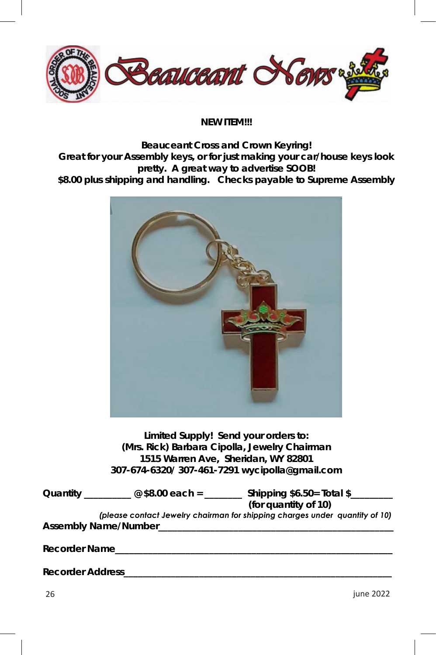

**NEW ITEM!!!** 

**Beauceant Cross and Crown Keyring! Great for your Assembly keys, or for just making your car/house keys look pretty. A great way to advertise SOOB! \$8.00 plus shipping and handling. Checks payable to Supreme Assembly** 



**Limited Supply! Send your orders to: (Mrs. Rick) Barbara Cipolla, Jewelry Chairman 1515 Warren Ave, Sheridan, WY 82801 307-674-6320/ 307-461-7291 wycipolla@gmail.com** 

| Quantity                                                                    | @ \$8.00 each = | Shipping \$6.50= Total \$<br>(for quantity of 10) |
|-----------------------------------------------------------------------------|-----------------|---------------------------------------------------|
| (please contact Jewelry chairman for shipping charges under quantity of 10) |                 |                                                   |
| Assembly Name/Number                                                        |                 |                                                   |

Recorder Name

Recorder Address